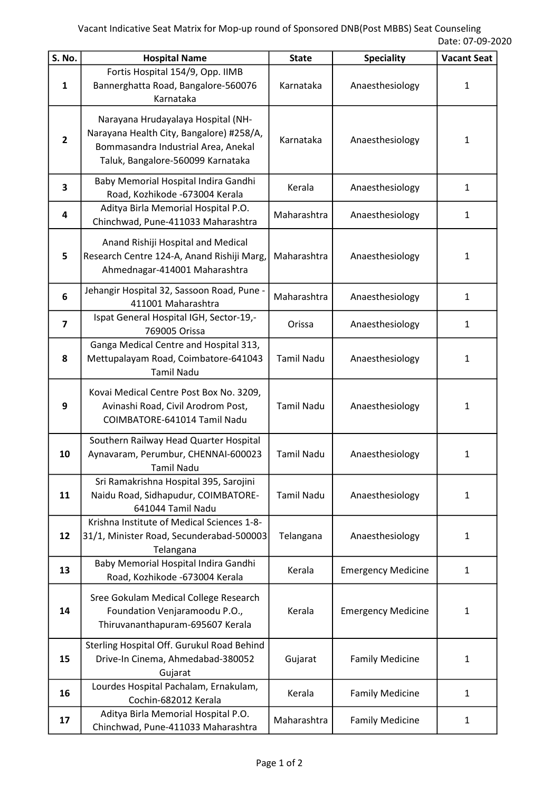| S. No.         | <b>Hospital Name</b>                                                                                                                                       | <b>State</b>      | <b>Speciality</b>         | <b>Vacant Seat</b> |
|----------------|------------------------------------------------------------------------------------------------------------------------------------------------------------|-------------------|---------------------------|--------------------|
| $\mathbf{1}$   | Fortis Hospital 154/9, Opp. IIMB<br>Bannerghatta Road, Bangalore-560076<br>Karnataka                                                                       | Karnataka         | Anaesthesiology           | $\mathbf{1}$       |
| $\overline{2}$ | Narayana Hrudayalaya Hospital (NH-<br>Narayana Health City, Bangalore) #258/A,<br>Bommasandra Industrial Area, Anekal<br>Taluk, Bangalore-560099 Karnataka | Karnataka         | Anaesthesiology           | $\mathbf{1}$       |
| 3              | Baby Memorial Hospital Indira Gandhi<br>Road, Kozhikode -673004 Kerala                                                                                     | Kerala            | Anaesthesiology           | $\mathbf{1}$       |
| 4              | Aditya Birla Memorial Hospital P.O.<br>Chinchwad, Pune-411033 Maharashtra                                                                                  | Maharashtra       | Anaesthesiology           | $\mathbf{1}$       |
| 5              | Anand Rishiji Hospital and Medical<br>Research Centre 124-A, Anand Rishiji Marg,<br>Ahmednagar-414001 Maharashtra                                          | Maharashtra       | Anaesthesiology           | $\mathbf{1}$       |
| 6              | Jehangir Hospital 32, Sassoon Road, Pune -<br>411001 Maharashtra                                                                                           | Maharashtra       | Anaesthesiology           | $\mathbf{1}$       |
| $\overline{7}$ | Ispat General Hospital IGH, Sector-19,-<br>769005 Orissa                                                                                                   | Orissa            | Anaesthesiology           | $\mathbf{1}$       |
| 8              | Ganga Medical Centre and Hospital 313,<br>Mettupalayam Road, Coimbatore-641043<br><b>Tamil Nadu</b>                                                        | <b>Tamil Nadu</b> | Anaesthesiology           | $\mathbf{1}$       |
| 9              | Kovai Medical Centre Post Box No. 3209,<br>Avinashi Road, Civil Arodrom Post,<br>COIMBATORE-641014 Tamil Nadu                                              | <b>Tamil Nadu</b> | Anaesthesiology           | $\mathbf{1}$       |
| 10             | Southern Railway Head Quarter Hospital<br>Aynavaram, Perumbur, CHENNAI-600023<br><b>Tamil Nadu</b>                                                         | <b>Tamil Nadu</b> | Anaesthesiology           | $\mathbf{1}$       |
| 11             | Sri Ramakrishna Hospital 395, Sarojini<br>Naidu Road, Sidhapudur, COIMBATORE-<br>641044 Tamil Nadu                                                         | <b>Tamil Nadu</b> | Anaesthesiology           | $\mathbf{1}$       |
| 12             | Krishna Institute of Medical Sciences 1-8-<br>31/1, Minister Road, Secunderabad-500003<br>Telangana                                                        | Telangana         | Anaesthesiology           | $\mathbf{1}$       |
| 13             | Baby Memorial Hospital Indira Gandhi<br>Road, Kozhikode -673004 Kerala                                                                                     | Kerala            | <b>Emergency Medicine</b> | $\mathbf{1}$       |
| 14             | Sree Gokulam Medical College Research<br>Foundation Venjaramoodu P.O.,<br>Thiruvananthapuram-695607 Kerala                                                 | Kerala            | <b>Emergency Medicine</b> | $\mathbf{1}$       |
| 15             | Sterling Hospital Off. Gurukul Road Behind<br>Drive-In Cinema, Ahmedabad-380052<br>Gujarat                                                                 | Gujarat           | <b>Family Medicine</b>    | $\mathbf{1}$       |
| 16             | Lourdes Hospital Pachalam, Ernakulam,<br>Cochin-682012 Kerala                                                                                              | Kerala            | <b>Family Medicine</b>    | $\mathbf{1}$       |
| 17             | Aditya Birla Memorial Hospital P.O.<br>Chinchwad, Pune-411033 Maharashtra                                                                                  | Maharashtra       | <b>Family Medicine</b>    | $\mathbf{1}$       |